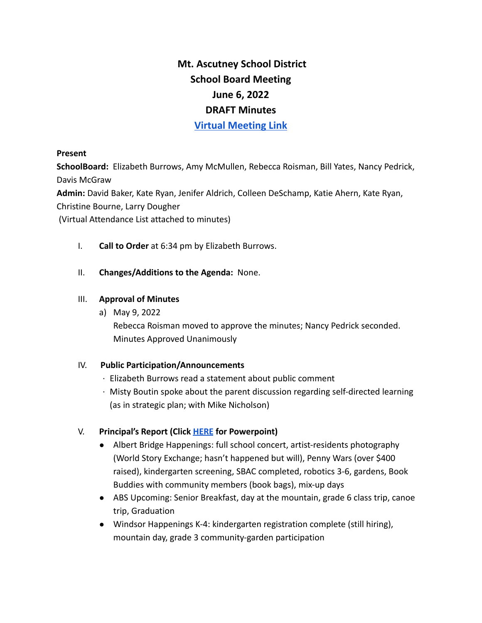# **Mt. Ascutney School District School Board Meeting June 6, 2022 DRAFT Minutes Virtual [Meeting](https://www.youtube.com/watch?v=eleGm3wPgAU&feature=emb_title) Link**

#### **Present**

**SchoolBoard:** Elizabeth Burrows, Amy McMullen, Rebecca Roisman, Bill Yates, Nancy Pedrick, Davis McGraw

**Admin:** David Baker, Kate Ryan, Jenifer Aldrich, Colleen DeSchamp, Katie Ahern, Kate Ryan,

Christine Bourne, Larry Dougher

(Virtual Attendance List attached to minutes)

- I. **Call to Order** at 6:34 pm by Elizabeth Burrows.
- II. **Changes/Additions to the Agenda:** None.

#### III. **Approval of Minutes**

a) May 9, 2022

Rebecca Roisman moved to approve the minutes; Nancy Pedrick seconded. Minutes Approved Unanimously

# IV. **Public Participation/Announcements**

- · Elizabeth Burrows read a statement about public comment
- · Misty Boutin spoke about the parent discussion regarding self-directed learning (as in strategic plan; with Mike Nicholson)

# V. **Principal's Report (Click [HERE](https://drive.google.com/file/d/1d1YzGHDyHeGGnP2nZd-Vr0fR3q6MePnG/view?usp=sharing) for Powerpoint)**

- Albert Bridge Happenings: full school concert, artist-residents photography (World Story Exchange; hasn't happened but will), Penny Wars (over \$400 raised), kindergarten screening, SBAC completed, robotics 3-6, gardens, Book Buddies with community members (book bags), mix-up days
- ABS Upcoming: Senior Breakfast, day at the mountain, grade 6 class trip, canoe trip, Graduation
- Windsor Happenings K-4: kindergarten registration complete (still hiring), mountain day, grade 3 community-garden participation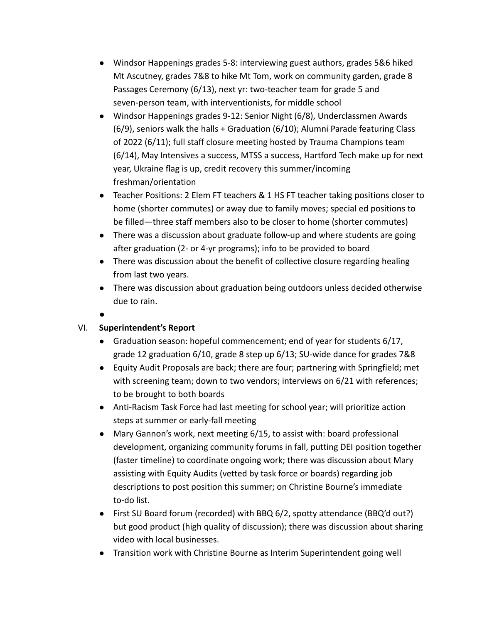- Windsor Happenings grades 5-8: interviewing guest authors, grades 5&6 hiked Mt Ascutney, grades 7&8 to hike Mt Tom, work on community garden, grade 8 Passages Ceremony (6/13), next yr: two-teacher team for grade 5 and seven-person team, with interventionists, for middle school
- Windsor Happenings grades 9-12: Senior Night (6/8), Underclassmen Awards (6/9), seniors walk the halls + Graduation (6/10); Alumni Parade featuring Class of 2022 (6/11); full staff closure meeting hosted by Trauma Champions team (6/14), May Intensives a success, MTSS a success, Hartford Tech make up for next year, Ukraine flag is up, credit recovery this summer/incoming freshman/orientation
- Teacher Positions: 2 Elem FT teachers & 1 HS FT teacher taking positions closer to home (shorter commutes) or away due to family moves; special ed positions to be filled—three staff members also to be closer to home (shorter commutes)
- There was a discussion about graduate follow-up and where students are going after graduation (2- or 4-yr programs); info to be provided to board
- There was discussion about the benefit of collective closure regarding healing from last two years.
- There was discussion about graduation being outdoors unless decided otherwise due to rain.
- ●

# VI. **Superintendent's Report**

- Graduation season: hopeful commencement; end of year for students 6/17, grade 12 graduation 6/10, grade 8 step up 6/13; SU-wide dance for grades 7&8
- Equity Audit Proposals are back; there are four; partnering with Springfield; met with screening team; down to two vendors; interviews on 6/21 with references; to be brought to both boards
- Anti-Racism Task Force had last meeting for school year; will prioritize action steps at summer or early-fall meeting
- Mary Gannon's work, next meeting 6/15, to assist with: board professional development, organizing community forums in fall, putting DEI position together (faster timeline) to coordinate ongoing work; there was discussion about Mary assisting with Equity Audits (vetted by task force or boards) regarding job descriptions to post position this summer; on Christine Bourne's immediate to-do list.
- First SU Board forum (recorded) with BBQ 6/2, spotty attendance (BBQ'd out?) but good product (high quality of discussion); there was discussion about sharing video with local businesses.
- Transition work with Christine Bourne as Interim Superintendent going well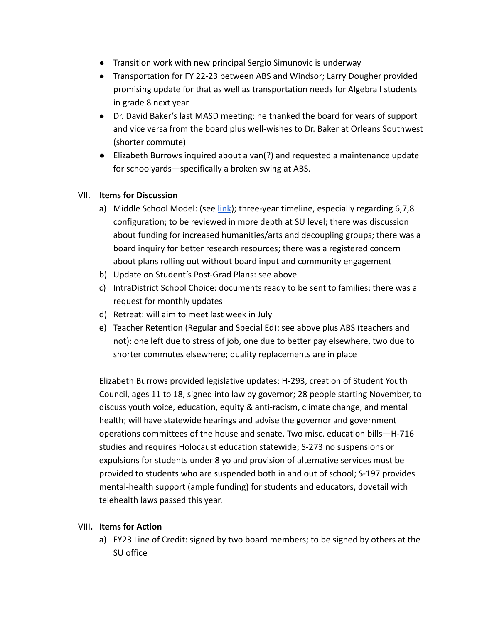- Transition work with new principal Sergio Simunovic is underway
- Transportation for FY 22-23 between ABS and Windsor; Larry Dougher provided promising update for that as well as transportation needs for Algebra I students in grade 8 next year
- Dr. David Baker's last MASD meeting: he thanked the board for years of support and vice versa from the board plus well-wishes to Dr. Baker at Orleans Southwest (shorter commute)
- Elizabeth Burrows inquired about a van(?) and requested a maintenance update for schoolyards—specifically a broken swing at ABS.

# VII. **Items for Discussion**

- a) Middle School Model: (see [link\)](https://drive.google.com/file/d/1iPc16gC24tfEoP_g5yf4sysSJqIgjik2/view?usp=sharing); three-year timeline, especially regarding 6,7,8 configuration; to be reviewed in more depth at SU level; there was discussion about funding for increased humanities/arts and decoupling groups; there was a board inquiry for better research resources; there was a registered concern about plans rolling out without board input and community engagement
- b) Update on Student's Post-Grad Plans: see above
- c) IntraDistrict School Choice: documents ready to be sent to families; there was a request for monthly updates
- d) Retreat: will aim to meet last week in July
- e) Teacher Retention (Regular and Special Ed): see above plus ABS (teachers and not): one left due to stress of job, one due to better pay elsewhere, two due to shorter commutes elsewhere; quality replacements are in place

Elizabeth Burrows provided legislative updates: H-293, creation of Student Youth Council, ages 11 to 18, signed into law by governor; 28 people starting November, to discuss youth voice, education, equity & anti-racism, climate change, and mental health; will have statewide hearings and advise the governor and government operations committees of the house and senate. Two misc. education bills—H-716 studies and requires Holocaust education statewide; S-273 no suspensions or expulsions for students under 8 yo and provision of alternative services must be provided to students who are suspended both in and out of school; S-197 provides mental-health support (ample funding) for students and educators, dovetail with telehealth laws passed this year.

# VIII**. Items for Action**

a) FY23 Line of Credit: signed by two board members; to be signed by others at the SU office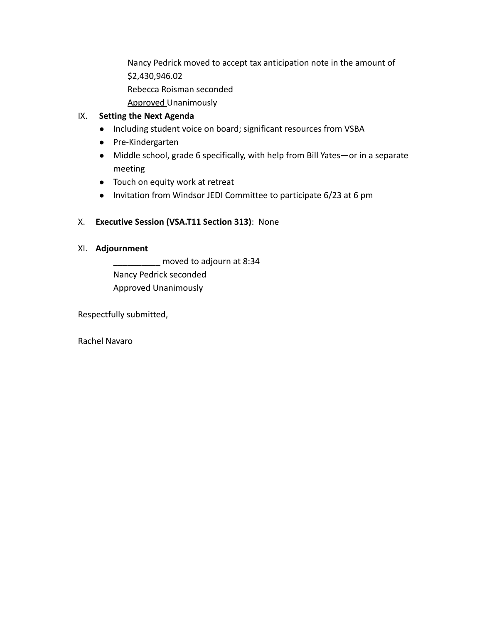Nancy Pedrick moved to accept tax anticipation note in the amount of \$2,430,946.02 Rebecca Roisman seconded

- 
- Approved Unanimously

#### IX. **Setting the Next Agenda**

- Including student voice on board; significant resources from VSBA
- Pre-Kindergarten
- Middle school, grade 6 specifically, with help from Bill Yates—or in a separate meeting
- Touch on equity work at retreat
- Invitation from Windsor JEDI Committee to participate 6/23 at 6 pm

# X. **Executive Session (VSA.T11 Section 313)**: None

#### XI. **Adjournment**

\_\_\_\_\_\_\_\_\_\_ moved to adjourn at 8:34 Nancy Pedrick seconded Approved Unanimously

Respectfully submitted,

Rachel Navaro